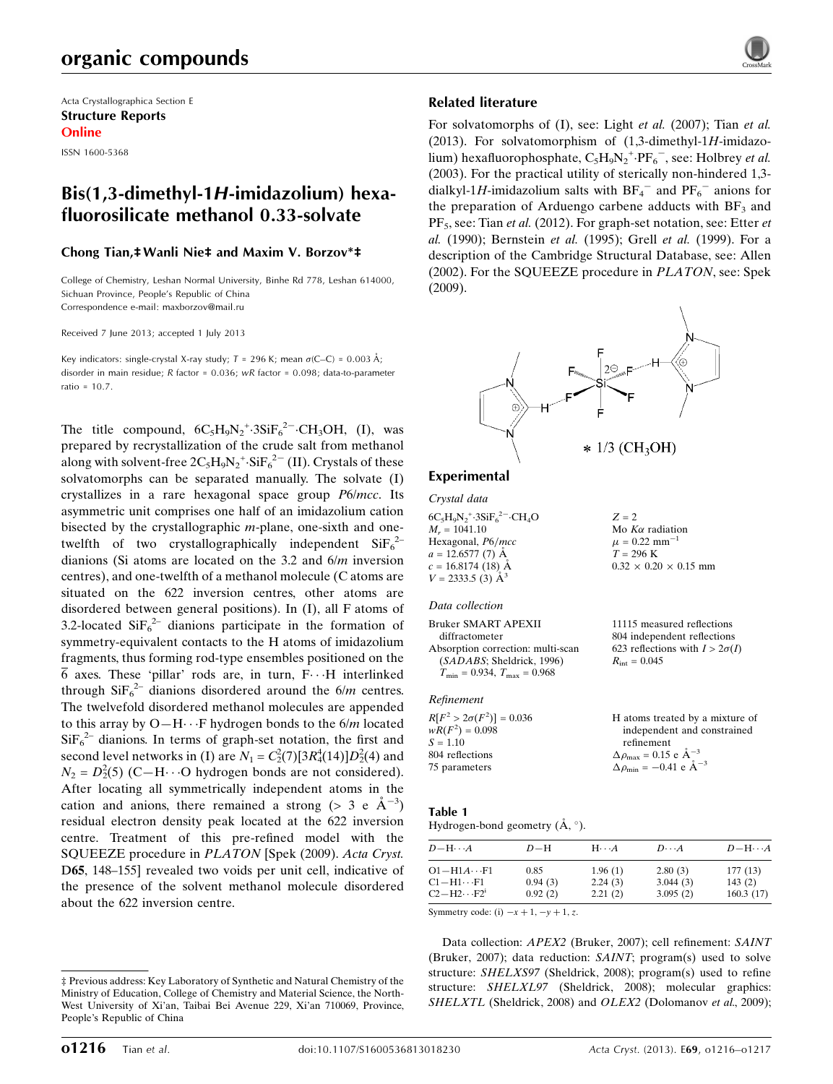# organic compounds

Acta Crystallographica Section E Structure Reports Online

ISSN 1600-5368

# Bis(1,3-dimethyl-1H-imidazolium) hexafluorosilicate methanol 0.33-solvate

### Chong Tian,‡Wanli Nie‡ and Maxim V. Borzov\*‡

College of Chemistry, Leshan Normal University, Binhe Rd 778, Leshan 614000, Sichuan Province, People's Republic of China Correspondence e-mail: [maxborzov@mail.ru](https://scripts.iucr.org/cgi-bin/cr.cgi?rm=pdfbb&cnor=im2435&bbid=BB13)

Received 7 June 2013; accepted 1 July 2013

Key indicators: single-crystal X-ray study;  $T = 296$  K; mean  $\sigma$ (C–C) = 0.003 Å; disorder in main residue; R factor = 0.036; wR factor = 0.098; data-to-parameter ratio = 10.7.

The title compound,  $6C_5H_9N_2^{\text{+}}.3SiF_6^{\text{2--}}.CH_3OH, (I),$  was prepared by recrystallization of the crude salt from methanol along with solvent-free  $2C_5H_9N_2^+$  Si $F_6^{2-}$  (II). Crystals of these solvatomorphs can be separated manually. The solvate (I) crystallizes in a rare hexagonal space group P6/mcc. Its asymmetric unit comprises one half of an imidazolium cation bisected by the crystallographic m-plane, one-sixth and onetwelfth of two crystallographically independent  $SiF_6^{2-}$ dianions (Si atoms are located on the 3.2 and 6/m inversion centres), and one-twelfth of a methanol molecule (C atoms are situated on the 622 inversion centres, other atoms are disordered between general positions). In (I), all F atoms of 3.2-located  $\text{SiF}_6^{2-}$  dianions participate in the formation of symmetry-equivalent contacts to the H atoms of imidazolium fragments, thus forming rod-type ensembles positioned on the 6 axes. These 'pillar' rods are, in turn,  $F \cdots H$  interlinked through  $\text{SiF}_6^{2-}$  dianions disordered around the 6/m centres. The twelvefold disordered methanol molecules are appended to this array by  $O-H\cdots F$  hydrogen bonds to the  $6/m$  located  $SiF<sub>6</sub><sup>2-</sup>$  dianions. In terms of graph-set notation, the first and second level networks in (I) are  $N_1 = C_2^2(7)[3R_4^4(14)]D_2^2(4)$  and  $N_2 = D_2^2(5)$  (C-H···O hydrogen bonds are not considered). After locating all symmetrically independent atoms in the cation and anions, there remained a strong (> 3 e  $\AA^{-3}$ ) residual electron density peak located at the 622 inversion centre. Treatment of this pre-refined model with the SQUEEZE procedure in PLATON [Spek (2009). Acta Cryst. D65, 148–155] revealed two voids per unit cell, indicative of the presence of the solvent methanol molecule disordered about the 622 inversion centre.

#### ‡ Previous address: Key Laboratory of Synthetic and Natural Chemistry of the Ministry of Education, College of Chemistry and Material Science, the North-West University of Xi'an, Taibai Bei Avenue 229, Xi'an 710069, Province, People's Republic of China

### Related literature

For solvatomorphs of (I), see: Light *et al.* (2007); Tian *et al.* (2013). For solvatomorphism of  $(1,3$ -dimethyl-1H-imidazolium) hexafluorophosphate,  $C_5H_9N_2^+ \cdot PF_6^-$ , see: Holbrey *et al.* (2003). For the practical utility of sterically non-hindered 1,3 dialkyl-1H-imidazolium salts with  $BF_4^-$  and  $PF_6^-$  anions for the preparation of Arduengo carbene adducts with  $BF<sub>3</sub>$  and PF<sub>5</sub>, see: Tian *et al.* (2012). For graph-set notation, see: Etter *et* al. (1990); Bernstein et al. (1995); Grell et al. (1999). For a description of the Cambridge Structural Database, see: Allen (2002). For the SQUEEZE procedure in PLATON, see: Spek (2009).



 $Z = 2$ 

Mo $K\alpha$  radiation  $\mu = 0.22$  mm<sup>-1</sup>  $T = 296 \text{ K}$ 

 $R_{\text{int}} = 0.045$ 

 $0.32 \times 0.20 \times 0.15$  mm

11115 measured reflections 804 independent reflections 623 reflections with  $I > 2\sigma(I)$ 

### Experimental

Crystal data

 $6C_5H_9N_2$ <sup>+</sup> $3SiF_6$ <sup>2-</sup> $CH_4O$  $M<sub>r</sub> = 1041.10$ Hexagonal, P6/mcc  $a = 12.6577(7)$  Å  $c = 16.8174(18)$  Å  $V = 2333.5$  (3)  $\AA^3$ 

#### Data collection

Bruker SMART APEXII diffractometer Absorption correction: multi-scan (SADABS; Sheldrick, 1996)  $T_{\text{min}} = 0.934, T_{\text{max}} = 0.968$ 

### Refinement

 $R[F^2 > 2\sigma(F^2)] = 0.036$  $wR(F^2) = 0.098$  $S = 1.10$ 804 reflections 75 parameters H atoms treated by a mixture of independent and constrained refinement  $\Delta \rho_{\text{max}} = 0.15 \text{ e A}^{-3}$  $\Delta \rho_{\text{min}} = -0.41 \text{ e } \text{\AA}^{-3}$ 

### Table 1

### Hydrogen-bond geometry  $(\AA, \degree)$ .

| $D - H \cdots A$     | $D-H$   | $H \cdot \cdot \cdot A$ | $D\cdots A$ | $D - H \cdots A$ |
|----------------------|---------|-------------------------|-------------|------------------|
| $O1 - H1A \cdots F1$ | 0.85    | 1.96(1)                 | 2.80(3)     | 177(13)          |
| $C1 - H1 \cdots F1$  | 0.94(3) | 2.24(3)                 | 3.044(3)    | 143(2)           |
| $C2-H2\cdots F2^i$   | 0.92(2) | 2.21(2)                 | 3.095(2)    | 160.3(17)        |

Symmetry code: (i)  $-x + 1$ ,  $-y + 1$ , z.

Data collection: APEX2 (Bruker, 2007); cell refinement: SAINT (Bruker, 2007); data reduction: SAINT; program(s) used to solve structure: SHELXS97 (Sheldrick, 2008); program(s) used to refine structure: SHELXL97 (Sheldrick, 2008); molecular graphics: SHELXTL (Sheldrick, 2008) and OLEX2 (Dolomanov et al., 2009);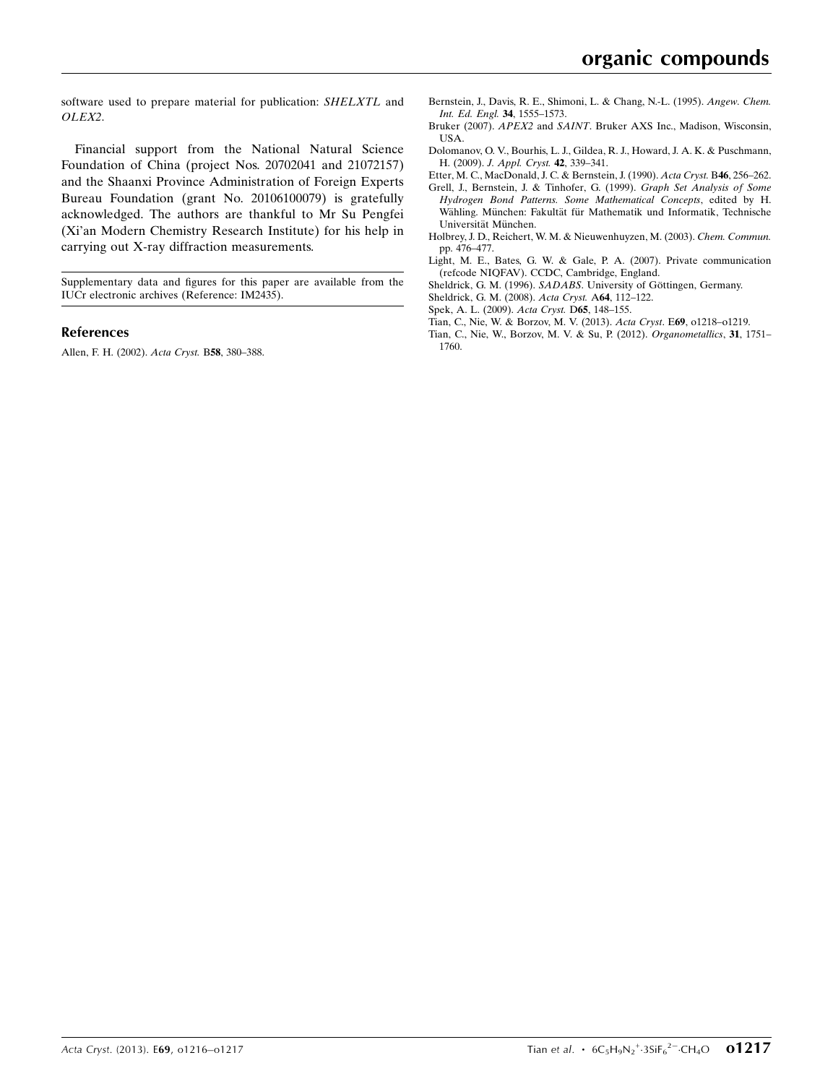software used to prepare material for publication: SHELXTL and OLEX2.

Financial support from the National Natural Science Foundation of China (project Nos. 20702041 and 21072157) and the Shaanxi Province Administration of Foreign Experts Bureau Foundation (grant No. 20106100079) is gratefully acknowledged. The authors are thankful to Mr Su Pengfei (Xi'an Modern Chemistry Research Institute) for his help in carrying out X-ray diffraction measurements.

Supplementary data and figures for this paper are available from the IUCr electronic archives (Reference: IM2435).

#### References

[Allen, F. H. \(2002\).](https://scripts.iucr.org/cgi-bin/cr.cgi?rm=pdfbb&cnor=im2435&bbid=BB1) Acta Cryst. B58, 380–388.

- [Bernstein, J., Davis, R. E., Shimoni, L. & Chang, N.-L. \(1995\).](https://scripts.iucr.org/cgi-bin/cr.cgi?rm=pdfbb&cnor=im2435&bbid=BB2) Angew. Chem. [Int. Ed. Engl.](https://scripts.iucr.org/cgi-bin/cr.cgi?rm=pdfbb&cnor=im2435&bbid=BB2) 34, 1555–1573.
- Bruker (2007). APEX2 and SAINT[. Bruker AXS Inc., Madison, Wisconsin,](https://scripts.iucr.org/cgi-bin/cr.cgi?rm=pdfbb&cnor=im2435&bbid=BB3) [USA.](https://scripts.iucr.org/cgi-bin/cr.cgi?rm=pdfbb&cnor=im2435&bbid=BB3)
- [Dolomanov, O. V., Bourhis, L. J., Gildea, R. J., Howard, J. A. K. & Puschmann,](https://scripts.iucr.org/cgi-bin/cr.cgi?rm=pdfbb&cnor=im2435&bbid=BB4) H. (2009). [J. Appl. Cryst.](https://scripts.iucr.org/cgi-bin/cr.cgi?rm=pdfbb&cnor=im2435&bbid=BB4) 42, 339–341.
- [Etter, M. C., MacDonald, J. C. & Bernstein, J. \(1990\).](https://scripts.iucr.org/cgi-bin/cr.cgi?rm=pdfbb&cnor=im2435&bbid=BB5) Acta Cryst. B46, 256–262.
- [Grell, J., Bernstein, J. & Tinhofer, G. \(1999\).](https://scripts.iucr.org/cgi-bin/cr.cgi?rm=pdfbb&cnor=im2435&bbid=BB6) Graph Set Analysis of Some [Hydrogen Bond Patterns. Some Mathematical Concepts](https://scripts.iucr.org/cgi-bin/cr.cgi?rm=pdfbb&cnor=im2435&bbid=BB6), edited by H. Wähling. München: Fakultät für Mathematik und Informatik, Technische Universität München.
- [Holbrey, J. D., Reichert, W. M. & Nieuwenhuyzen, M. \(2003\).](https://scripts.iucr.org/cgi-bin/cr.cgi?rm=pdfbb&cnor=im2435&bbid=BB7) Chem. Commun. [pp. 476–477.](https://scripts.iucr.org/cgi-bin/cr.cgi?rm=pdfbb&cnor=im2435&bbid=BB7)
- [Light, M. E., Bates, G. W. & Gale, P. A. \(2007\). Private communication](https://scripts.iucr.org/cgi-bin/cr.cgi?rm=pdfbb&cnor=im2435&bbid=BB8) [\(refcode NIQFAV\). CCDC, Cambridge, England.](https://scripts.iucr.org/cgi-bin/cr.cgi?rm=pdfbb&cnor=im2435&bbid=BB8)
- Sheldrick, G. M. (1996). SADABS. University of Göttingen, Germany.
- [Sheldrick, G. M. \(2008\).](https://scripts.iucr.org/cgi-bin/cr.cgi?rm=pdfbb&cnor=im2435&bbid=BB10) Acta Cryst. A64, 112–122.
- [Spek, A. L. \(2009\).](https://scripts.iucr.org/cgi-bin/cr.cgi?rm=pdfbb&cnor=im2435&bbid=BB11) Acta Cryst. D65, 148–155.
- [Tian, C., Nie, W. & Borzov, M. V. \(2013\).](https://scripts.iucr.org/cgi-bin/cr.cgi?rm=pdfbb&cnor=im2435&bbid=BB12) Acta Cryst. E69, o1218–o1219.
- [Tian, C., Nie, W., Borzov, M. V. & Su, P. \(2012\).](https://scripts.iucr.org/cgi-bin/cr.cgi?rm=pdfbb&cnor=im2435&bbid=BB13) Organometallics, 31, 1751– [1760.](https://scripts.iucr.org/cgi-bin/cr.cgi?rm=pdfbb&cnor=im2435&bbid=BB13)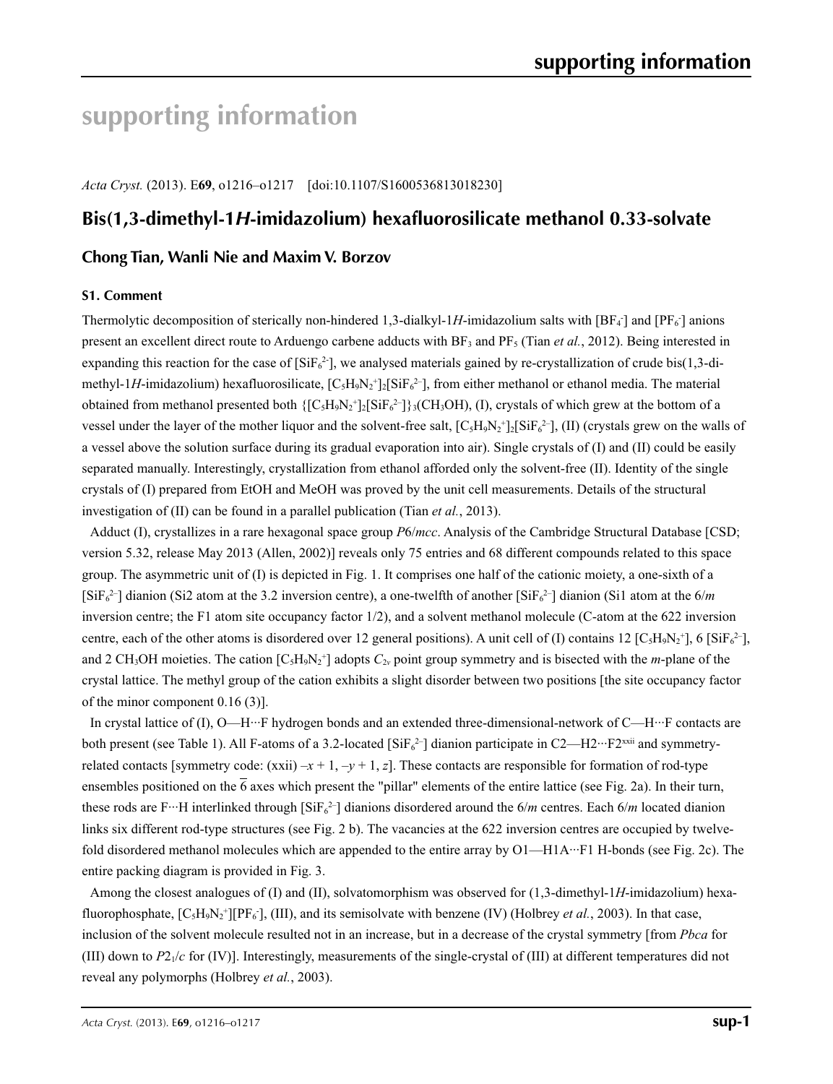# **supporting information**

*Acta Cryst.* (2013). E**69**, o1216–o1217 [doi:10.1107/S1600536813018230]

# **Bis(1,3-dimethyl-1***H***-imidazolium) hexafluorosilicate methanol 0.33-solvate**

## **Chong Tian, Wanli Nie and Maxim V. Borzov**

### **S1. Comment**

Thermolytic decomposition of sterically non-hindered 1,3-dialkyl-1H-imidazolium salts with  $[BF_4]$  and  $[PF_6]$  anions present an excellent direct route to Arduengo carbene adducts with  $BF_3$  and  $PF_5$  (Tian *et al.*, 2012). Being interested in expanding this reaction for the case of  $[SIF_6^2]$ , we analysed materials gained by re-crystallization of crude bis(1,3-dimethyl-1H-imidazolium) hexafluorosilicate,  $[C_5H_9N_2^+]_2[SiFe_6^{2-}]$ , from either methanol or ethanol media. The material obtained from methanol presented both  $\{[C_5H_9N_2^+]_2[SiF_6^{2-}]\}$ ; (CH<sub>3</sub>OH), (I), crystals of which grew at the bottom of a vessel under the layer of the mother liquor and the solvent-free salt,  $[C_5H_9N_2^+]_2[SiF_6^2]$ , (II) (crystals grew on the walls of a vessel above the solution surface during its gradual evaporation into air). Single crystals of (I) and (II) could be easily separated manually. Interestingly, crystallization from ethanol afforded only the solvent-free (II). Identity of the single crystals of (I) prepared from EtOH and MeOH was proved by the unit cell measurements. Details of the structural investigation of (II) can be found in a parallel publication (Tian *et al.*, 2013).

Adduct (I), crystallizes in a rare hexagonal space group *P*6/*mcc*. Analysis of the Cambridge Structural Database [CSD; version 5.32, release May 2013 (Allen, 2002)] reveals only 75 entries and 68 different compounds related to this space group. The asymmetric unit of (I) is depicted in Fig. 1. It comprises one half of the cationic moiety, a one-sixth of a  $[SiF_6^2]$  dianion (Si2 atom at the 3.2 inversion centre), a one-twelfth of another  $[SiF_6^2]$  dianion (Si1 atom at the 6/*m* inversion centre; the F1 atom site occupancy factor 1/2), and a solvent methanol molecule (C-atom at the 622 inversion centre, each of the other atoms is disordered over 12 general positions). A unit cell of (I) contains 12 [C<sub>5</sub>H<sub>9</sub>N<sub>2</sub><sup>+</sup>], 6 [SiF<sub>6</sub><sup>2-</sup>], and 2 CH<sub>3</sub>OH moieties. The cation  $[C_5H_9N_2^+]$  adopts  $C_{2\nu}$  point group symmetry and is bisected with the *m*-plane of the crystal lattice. The methyl group of the cation exhibits a slight disorder between two positions [the site occupancy factor of the minor component 0.16 (3)].

In crystal lattice of (I), O—H···F hydrogen bonds and an extended three-dimensional-network of C—H···F contacts are both present (see Table 1). All F-atoms of a 3.2-located [ $\text{SiF}_6{}^{2-}$ ] dianion participate in C2—H2…F2<sup>xxii</sup> and symmetryrelated contacts [symmetry code:  $(xxii) - x + 1, -y + 1, z$ ]. These contacts are responsible for formation of rod-type ensembles positioned on the  $\overline{6}$  axes which present the "pillar" elements of the entire lattice (see Fig. 2a). In their turn, these rods are F…H interlinked through  $\left[SiF_6^{2-}\right]$  dianions disordered around the 6/*m* centres. Each 6/*m* located dianion links six different rod-type structures (see Fig. 2 b). The vacancies at the 622 inversion centres are occupied by twelvefold disordered methanol molecules which are appended to the entire array by O1—H1A···F1 H-bonds (see Fig. 2c). The entire packing diagram is provided in Fig. 3.

Among the closest analogues of (I) and (II), solvatomorphism was observed for (1,3-dimethyl-1*H*-imidazolium) hexafluorophosphate,  $[C_5H_9N_2^+][PF_6]$ , (III), and its semisolvate with benzene (IV) (Holbrey *et al.*, 2003). In that case, inclusion of the solvent molecule resulted not in an increase, but in a decrease of the crystal symmetry [from *Pbca* for (III) down to *P*21/*c* for (IV)]. Interestingly, measurements of the single-crystal of (III) at different temperatures did not reveal any polymorphs (Holbrey *et al.*, 2003).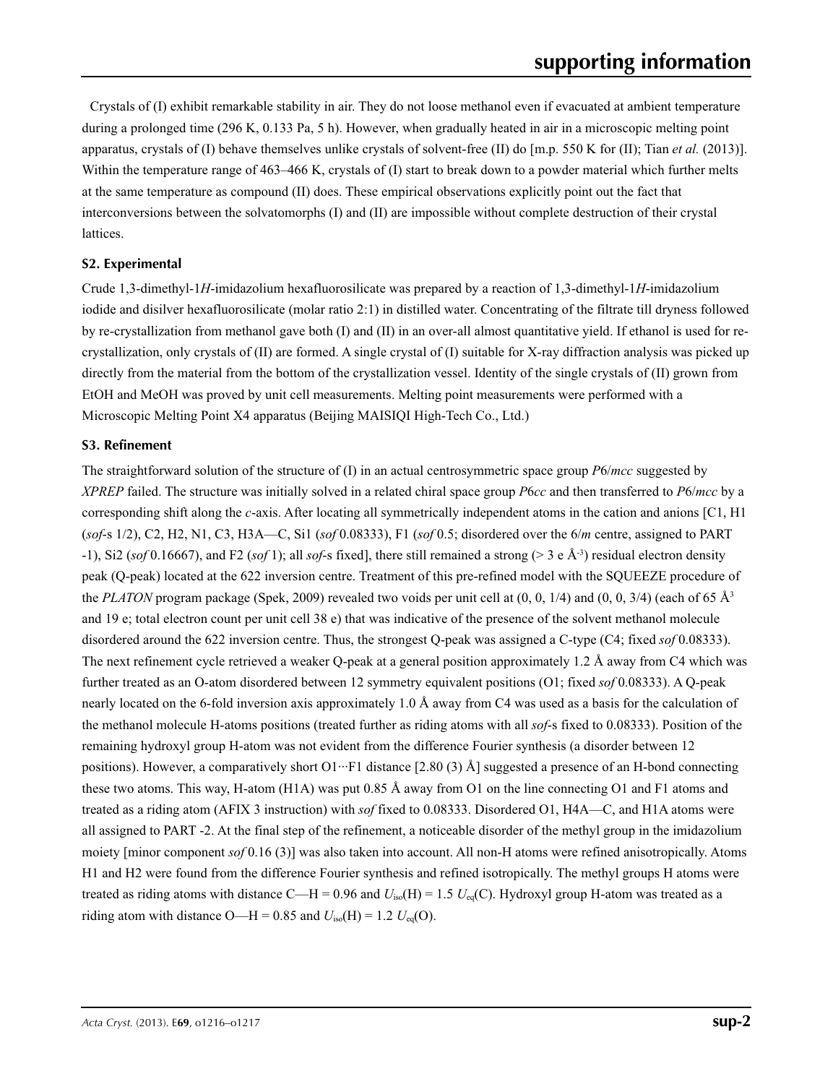Crystals of (I) exhibit remarkable stability in air. They do not loose methanol even if evacuated at ambient temperature during a prolonged time (296 K, 0.133 Pa, 5 h). However, when gradually heated in air in a microscopic melting point apparatus, crystals of (I) behave themselves unlike crystals of solvent-free (II) do [m.p. 550 K for (II); Tian *et al.* (2013)]. Within the temperature range of 463–466 K, crystals of (I) start to break down to a powder material which further melts at the same temperature as compound (II) does. These empirical observations explicitly point out the fact that interconversions between the solvatomorphs (I) and (II) are impossible without complete destruction of their crystal lattices.

### **S2. Experimental**

Crude 1,3-dimethyl-1*H*-imidazolium hexafluorosilicate was prepared by a reaction of 1,3-dimethyl-1*H*-imidazolium iodide and disilver hexafluorosilicate (molar ratio 2:1) in distilled water. Concentrating of the filtrate till dryness followed by re-crystallization from methanol gave both (I) and (II) in an over-all almost quantitative yield. If ethanol is used for recrystallization, only crystals of (II) are formed. A single crystal of (I) suitable for X-ray diffraction analysis was picked up directly from the material from the bottom of the crystallization vessel. Identity of the single crystals of (II) grown from EtOH and MeOH was proved by unit cell measurements. Melting point measurements were performed with a Microscopic Melting Point X4 apparatus (Beijing MAISIQI High-Tech Co., Ltd.)

### **S3. Refinement**

The straightforward solution of the structure of (I) in an actual centrosymmetric space group *P*6/*mcc* suggested by *XPREP* failed. The structure was initially solved in a related chiral space group *P*6*cc* and then transferred to *P*6/*mcc* by a corresponding shift along the *c*-axis. After locating all symmetrically independent atoms in the cation and anions [C1, H1 (*sof*-s 1/2), C2, H2, N1, C3, H3A—C, Si1 (*sof* 0.08333), F1 (*sof* 0.5; disordered over the 6/*m* centre, assigned to PART -1), Si2 (*sof* 0.16667), and F2 (*sof* 1); all *sof*-s fixed], there still remained a strong (> 3 e Å-3) residual electron density peak (Q-peak) located at the 622 inversion centre. Treatment of this pre-refined model with the SQUEEZE procedure of the *PLATON* program package (Spek, 2009) revealed two voids per unit cell at  $(0, 0, 1/4)$  and  $(0, 0, 3/4)$  (each of 65 Å<sup>3</sup>) and 19 e; total electron count per unit cell 38 e) that was indicative of the presence of the solvent methanol molecule disordered around the 622 inversion centre. Thus, the strongest Q-peak was assigned a C-type (C4; fixed *sof* 0.08333). The next refinement cycle retrieved a weaker Q-peak at a general position approximately 1.2 Å away from C4 which was further treated as an O-atom disordered between 12 symmetry equivalent positions (O1; fixed *sof* 0.08333). A Q-peak nearly located on the 6-fold inversion axis approximately 1.0 Å away from C4 was used as a basis for the calculation of the methanol molecule H-atoms positions (treated further as riding atoms with all *sof*-s fixed to 0.08333). Position of the remaining hydroxyl group H-atom was not evident from the difference Fourier synthesis (a disorder between 12 positions). However, a comparatively short O1…F1 distance  $[2.80 (3)$  Å] suggested a presence of an H-bond connecting these two atoms. This way, H-atom (H1A) was put 0.85 Å away from O1 on the line connecting O1 and F1 atoms and treated as a riding atom (AFIX 3 instruction) with *sof* fixed to 0.08333. Disordered O1, H4A—C, and H1A atoms were all assigned to PART -2. At the final step of the refinement, a noticeable disorder of the methyl group in the imidazolium moiety [minor component *sof* 0.16 (3)] was also taken into account. All non-H atoms were refined anisotropically. Atoms H1 and H2 were found from the difference Fourier synthesis and refined isotropically. The methyl groups H atoms were treated as riding atoms with distance C—H = 0.96 and  $U_{iso}(H) = 1.5 U_{eq}(C)$ . Hydroxyl group H-atom was treated as a riding atom with distance O—H = 0.85 and  $U_{iso}(H) = 1.2 U_{eq}(O)$ .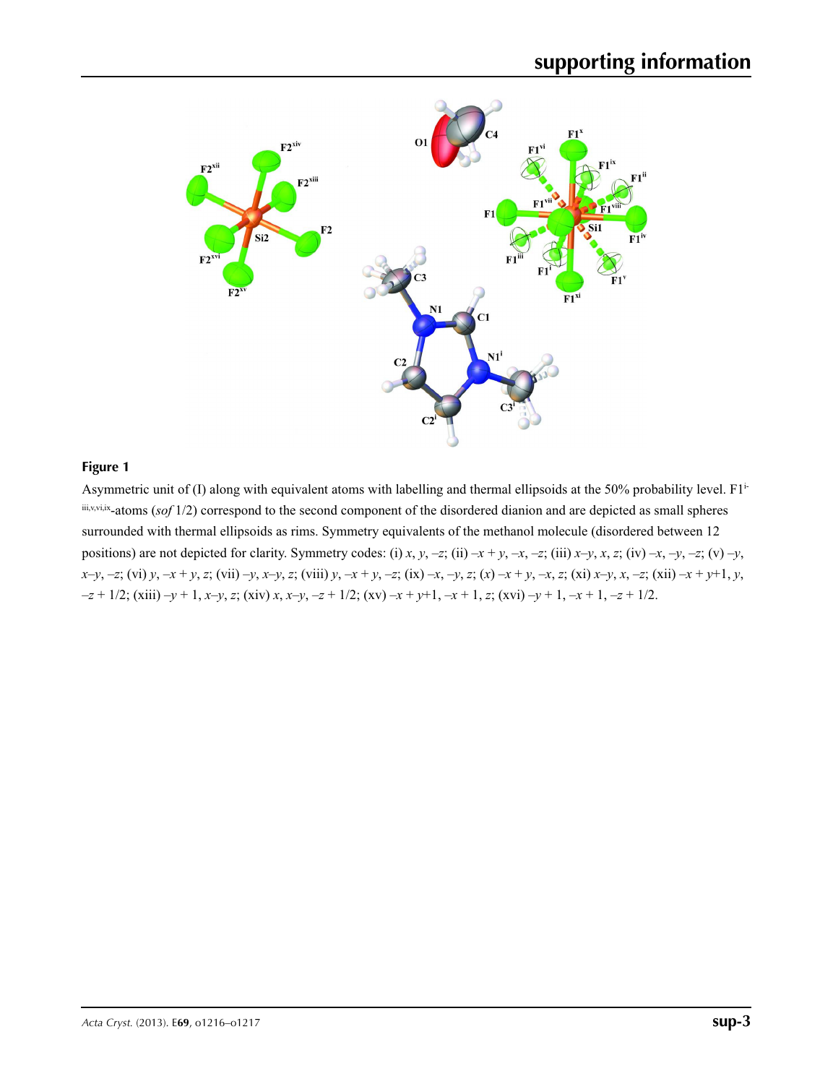

### **Figure 1**

Asymmetric unit of (I) along with equivalent atoms with labelling and thermal ellipsoids at the 50% probability level. F1iiii,v,vi,ix-atoms (*sof* 1/2) correspond to the second component of the disordered dianion and are depicted as small spheres surrounded with thermal ellipsoids as rims. Symmetry equivalents of the methanol molecule (disordered between 12 positions) are not depicted for clarity. Symmetry codes: (i) x, y, -z; (ii) -x + y, -x, -z; (iii) x-y, x, z; (iv) -x, -y, -z; (v) -y, x-y, -z; (vi) y, -x + y, z; (vii) -y, x-y, z; (viii) y, -x + y, -z; (ix) -x, -y, z; (x) -x + y, -x, z; (xi) x-y, x, -z; (xii) -x + y+1, y,  $-z+1/2$ ; (xiii)  $-y+1$ , x-y, z; (xiv) x, x-y, -z + 1/2; (xv) -x + y+1, -x + 1, z; (xvi) -y + 1, -x + 1, -z + 1/2.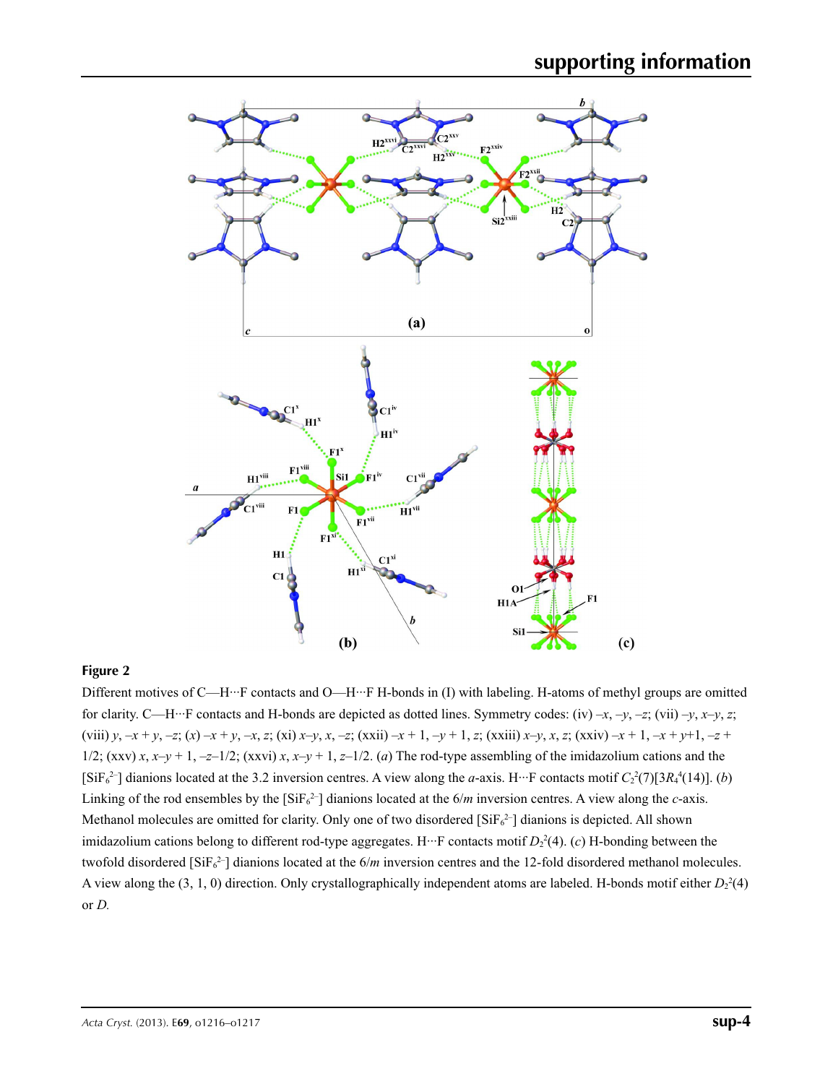

## **Figure 2**

Different motives of C—H···F contacts and O—H···F H-bonds in (I) with labeling. H-atoms of methyl groups are omitted for clarity. C—H···F contacts and H-bonds are depicted as dotted lines. Symmetry codes: (iv) –*x*, –*y*, –*z*; (vii) –*y*, *x*–*y*, *z*; (viii) y, -x + y, -z; (x) -x + y, -x, z; (xi) x-y, x, -z; (xxii) -x + 1, -y + 1, z; (xxiii) x-y, x, z; (xxiv) -x + 1, -x + y+1, -z + 1/2;  $(xxy)$  *x*,  $x-y+1$ ,  $-z-1/2$ ;  $(xxvi)$  *x*,  $x-y+1$ ,  $z-1/2$ . (*a*) The rod-type assembling of the imidazolium cations and the  $[SiF_6^2]$  dianions located at the 3.2 inversion centres. A view along the *a*-axis. H<sup>.</sup>··F contacts motif  $C_2^2(7)[3R_4^4(14)]$ . (*b*) Linking of the rod ensembles by the  $[SiF_6^2]$  dianions located at the 6/*m* inversion centres. A view along the *c*-axis. Methanol molecules are omitted for clarity. Only one of two disordered  $[SiF_6^2]$  dianions is depicted. All shown imidazolium cations belong to different rod-type aggregates. H<sup>...</sup> F contacts motif  $D_2^2(4)$ . (*c*) H-bonding between the twofold disordered  $[SiF_6^2]$  dianions located at the  $6/m$  inversion centres and the 12-fold disordered methanol molecules. A view along the  $(3, 1, 0)$  direction. Only crystallographically independent atoms are labeled. H-bonds motif either  $D_2^2(4)$ or *D.*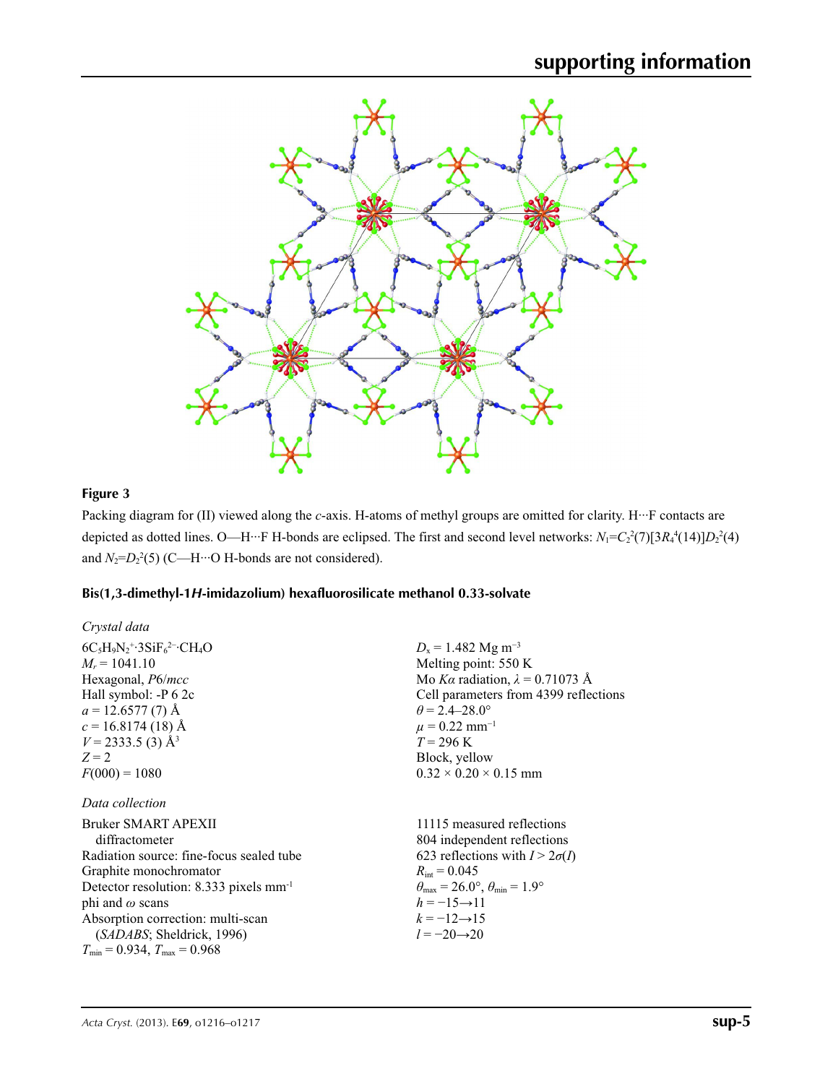

# **Figure 3**

Packing diagram for (II) viewed along the *c*-axis. H-atoms of methyl groups are omitted for clarity. H<sup>.</sup>··F contacts are depicted as dotted lines. O—H···F H-bonds are eclipsed. The first and second level networks:  $N_1 = C_2^2(7)[3R_4^4(14)]D_2^2(4)$ and  $N_2 = D_2^2(5)$  (C—H···O H-bonds are not considered).

## **Bis(1,3-dimethyl-1***H***-imidazolium) hexafluorosilicate methanol 0.33-solvate**

| Crystal data                                                                                                                                                                                                                                                                                                               |                                                                                                                                                                                                                                                                                               |
|----------------------------------------------------------------------------------------------------------------------------------------------------------------------------------------------------------------------------------------------------------------------------------------------------------------------------|-----------------------------------------------------------------------------------------------------------------------------------------------------------------------------------------------------------------------------------------------------------------------------------------------|
| $6C_5H_9N_2$ <sup>+</sup> ·3SiF <sub>6</sub> <sup>2-</sup> ·CH <sub>4</sub> O<br>$M_r = 1041.10$<br>Hexagonal, <i>P6/mcc</i><br>Hall symbol: -P 6 2c<br>$a = 12.6577(7)$ Å<br>$c = 16.8174(18)$ Å<br>$V = 2333.5$ (3) Å <sup>3</sup><br>$Z=2$<br>$F(000) = 1080$                                                           | $D_x = 1.482$ Mg m <sup>-3</sup><br>Melting point: 550 K<br>Mo Ka radiation, $\lambda = 0.71073$ Å<br>Cell parameters from 4399 reflections<br>$\theta$ = 2.4–28.0°<br>$\mu = 0.22$ mm <sup>-1</sup><br>$T = 296 \text{ K}$<br>Block, yellow<br>$0.32 \times 0.20 \times 0.15$ mm             |
| Data collection<br>Bruker SMART APEXII<br>diffractometer<br>Radiation source: fine-focus sealed tube<br>Graphite monochromator<br>Detector resolution: 8.333 pixels mm <sup>-1</sup><br>phi and $\omega$ scans<br>Absorption correction: multi-scan<br>(SADABS; Sheldrick, 1996)<br>$T_{\min}$ = 0.934, $T_{\max}$ = 0.968 | 11115 measured reflections<br>804 independent reflections<br>623 reflections with $I > 2\sigma(I)$<br>$R_{\text{int}} = 0.045$<br>$\theta_{\text{max}} = 26.0^{\circ}, \theta_{\text{min}} = 1.9^{\circ}$<br>$h = -15 \rightarrow 11$<br>$k = -12 \rightarrow 15$<br>$l = -20 \rightarrow 20$ |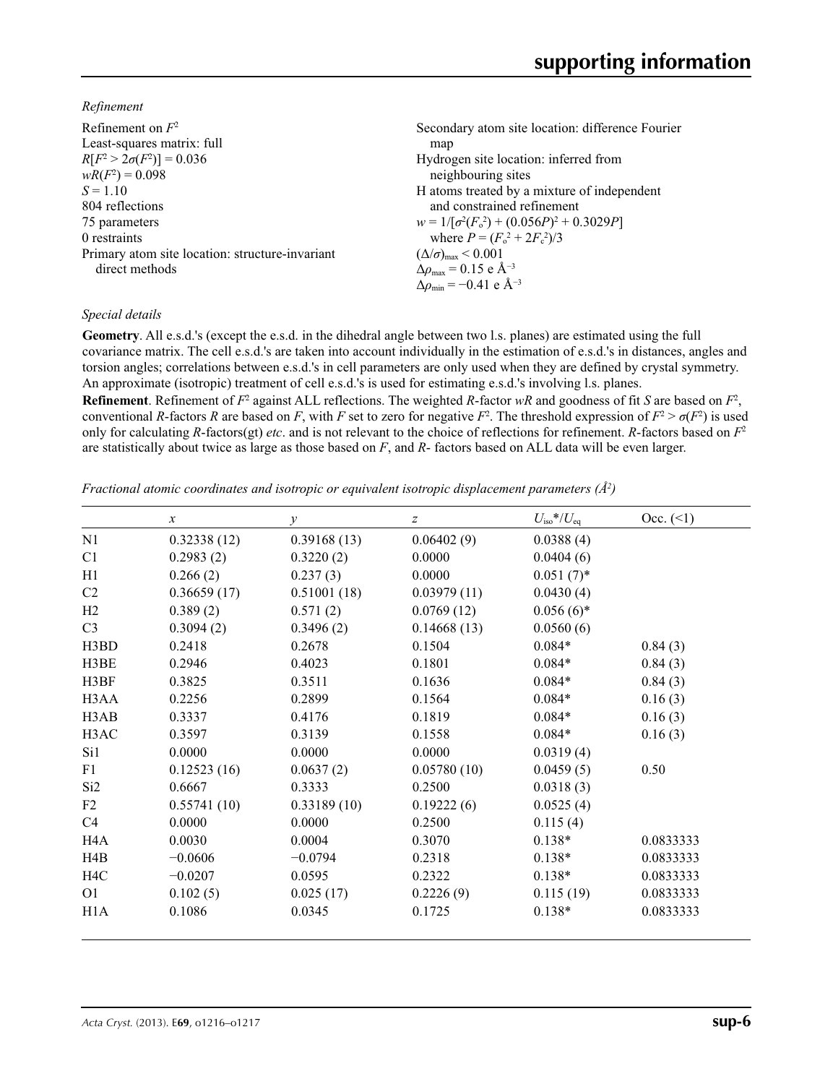*Refinement*

| Secondary atom site location: difference Fourier            |
|-------------------------------------------------------------|
| map                                                         |
| Hydrogen site location: inferred from                       |
| neighbouring sites                                          |
| H atoms treated by a mixture of independent                 |
| and constrained refinement                                  |
| $w = 1/[\sigma^2(F_0^2) + (0.056P)^2 + 0.3029P]$            |
| where $P = (F_0^2 + 2F_c^2)/3$                              |
| $(\Delta/\sigma)_{\text{max}}$ < 0.001                      |
| $\Delta\rho_{\text{max}} = 0.15 \text{ e } \text{\AA}^{-3}$ |
| $\Delta\rho_{\rm min} = -0.41 \text{ e } \text{\AA}^{-3}$   |
|                                                             |

### *Special details*

**Geometry**. All e.s.d.'s (except the e.s.d. in the dihedral angle between two l.s. planes) are estimated using the full covariance matrix. The cell e.s.d.'s are taken into account individually in the estimation of e.s.d.'s in distances, angles and torsion angles; correlations between e.s.d.'s in cell parameters are only used when they are defined by crystal symmetry. An approximate (isotropic) treatment of cell e.s.d.'s is used for estimating e.s.d.'s involving l.s. planes.

**Refinement**. Refinement of  $F^2$  against ALL reflections. The weighted *R*-factor  $wR$  and goodness of fit *S* are based on  $F^2$ , conventional *R*-factors *R* are based on *F*, with *F* set to zero for negative  $F^2$ . The threshold expression of  $F^2 > \sigma(F^2)$  is used only for calculating *R*-factors(gt) *etc*. and is not relevant to the choice of reflections for refinement. *R*-factors based on *F*<sup>2</sup> are statistically about twice as large as those based on *F*, and *R*- factors based on ALL data will be even larger.

*Fractional atomic coordinates and isotropic or equivalent isotropic displacement parameters (Å<sup>2</sup>)* 

|                  | $\boldsymbol{\chi}$ | $\mathcal{Y}$ | z           | $U_{\rm iso}*/U_{\rm eq}$ | Occ. (2)  |
|------------------|---------------------|---------------|-------------|---------------------------|-----------|
| N1               | 0.32338(12)         | 0.39168(13)   | 0.06402(9)  | 0.0388(4)                 |           |
| C <sub>1</sub>   | 0.2983(2)           | 0.3220(2)     | 0.0000      | 0.0404(6)                 |           |
| H1               | 0.266(2)            | 0.237(3)      | 0.0000      | $0.051(7)$ *              |           |
| C <sub>2</sub>   | 0.36659(17)         | 0.51001(18)   | 0.03979(11) | 0.0430(4)                 |           |
| H2               | 0.389(2)            | 0.571(2)      | 0.0769(12)  | $0.056(6)$ *              |           |
| C <sub>3</sub>   | 0.3094(2)           | 0.3496(2)     | 0.14668(13) | 0.0560(6)                 |           |
| H3BD             | 0.2418              | 0.2678        | 0.1504      | $0.084*$                  | 0.84(3)   |
| H3BE             | 0.2946              | 0.4023        | 0.1801      | $0.084*$                  | 0.84(3)   |
| H3BF             | 0.3825              | 0.3511        | 0.1636      | $0.084*$                  | 0.84(3)   |
| H3AA             | 0.2256              | 0.2899        | 0.1564      | $0.084*$                  | 0.16(3)   |
| H3AB             | 0.3337              | 0.4176        | 0.1819      | $0.084*$                  | 0.16(3)   |
| H3AC             | 0.3597              | 0.3139        | 0.1558      | $0.084*$                  | 0.16(3)   |
| Si1              | 0.0000              | 0.0000        | 0.0000      | 0.0319(4)                 |           |
| F1               | 0.12523(16)         | 0.0637(2)     | 0.05780(10) | 0.0459(5)                 | 0.50      |
| Si <sub>2</sub>  | 0.6667              | 0.3333        | 0.2500      | 0.0318(3)                 |           |
| F2               | 0.55741(10)         | 0.33189(10)   | 0.19222(6)  | 0.0525(4)                 |           |
| C4               | 0.0000              | 0.0000        | 0.2500      | 0.115(4)                  |           |
| H <sub>4</sub> A | 0.0030              | 0.0004        | 0.3070      | $0.138*$                  | 0.0833333 |
| H4B              | $-0.0606$           | $-0.0794$     | 0.2318      | $0.138*$                  | 0.0833333 |
| H <sub>4</sub> C | $-0.0207$           | 0.0595        | 0.2322      | $0.138*$                  | 0.0833333 |
| O <sub>1</sub>   | 0.102(5)            | 0.025(17)     | 0.2226(9)   | 0.115(19)                 | 0.0833333 |
| H <sub>1</sub> A | 0.1086              | 0.0345        | 0.1725      | $0.138*$                  | 0.0833333 |
|                  |                     |               |             |                           |           |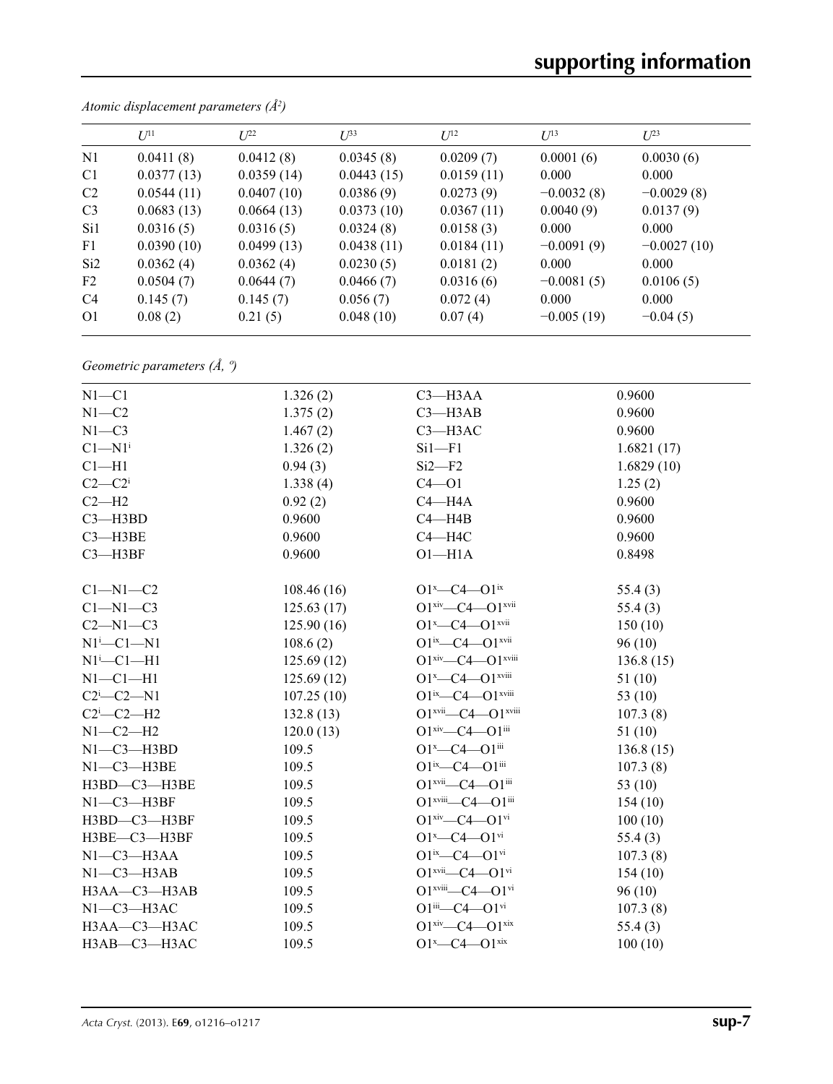|                 | $U^{11}$   | $L^{22}$   | $I^{\beta 3}$ | $U^{12}$   | $U^{13}$     | $L^{23}$      |
|-----------------|------------|------------|---------------|------------|--------------|---------------|
| N <sub>1</sub>  | 0.0411(8)  | 0.0412(8)  | 0.0345(8)     | 0.0209(7)  | 0.0001(6)    | 0.0030(6)     |
| C <sub>1</sub>  | 0.0377(13) | 0.0359(14) | 0.0443(15)    | 0.0159(11) | 0.000        | 0.000         |
| C <sub>2</sub>  | 0.0544(11) | 0.0407(10) | 0.0386(9)     | 0.0273(9)  | $-0.0032(8)$ | $-0.0029(8)$  |
| C <sub>3</sub>  | 0.0683(13) | 0.0664(13) | 0.0373(10)    | 0.0367(11) | 0.0040(9)    | 0.0137(9)     |
| Si1             | 0.0316(5)  | 0.0316(5)  | 0.0324(8)     | 0.0158(3)  | 0.000        | 0.000         |
| F1              | 0.0390(10) | 0.0499(13) | 0.0438(11)    | 0.0184(11) | $-0.0091(9)$ | $-0.0027(10)$ |
| Si <sub>2</sub> | 0.0362(4)  | 0.0362(4)  | 0.0230(5)     | 0.0181(2)  | 0.000        | 0.000         |
| F2              | 0.0504(7)  | 0.0644(7)  | 0.0466(7)     | 0.0316(6)  | $-0.0081(5)$ | 0.0106(5)     |
| C <sub>4</sub>  | 0.145(7)   | 0.145(7)   | 0.056(7)      | 0.072(4)   | 0.000        | 0.000         |
| O <sub>1</sub>  | 0.08(2)    | 0.21(5)    | 0.048(10)     | 0.07(4)    | $-0.005(19)$ | $-0.04(5)$    |

*Atomic displacement parameters (Å2 )*

*Geometric parameters (Å, º)*

| $N1 - C1$                                           | 1.326(2)   | $C3$ —H3AA                                        | 0.9600     |
|-----------------------------------------------------|------------|---------------------------------------------------|------------|
| $N1 - C2$                                           | 1.375(2)   | $C3$ —H $3AB$                                     | 0.9600     |
| $N1 - C3$                                           | 1.467(2)   | $C3 - H3AC$                                       | 0.9600     |
| $C1 - N1$ <sup>i</sup>                              | 1.326(2)   | $Si1-F1$                                          | 1.6821(17) |
| $C1 - H1$                                           | 0.94(3)    | $Si2-F2$                                          | 1.6829(10) |
| $C2-C2i$                                            | 1.338(4)   | $C4 - O1$                                         | 1.25(2)    |
| $C2-H2$                                             | 0.92(2)    | $C4 - H4A$                                        | 0.9600     |
| $C3 - H3BD$                                         | 0.9600     | $C4 - H4B$                                        | 0.9600     |
| $C3 - H3BE$                                         | 0.9600     | $C4 - H4C$                                        | 0.9600     |
| $C3 - H3BF$                                         | 0.9600     | $O1 - H1A$                                        | 0.8498     |
| $C1-M1-C2$                                          | 108.46(16) | $O1^x$ - $C4$ - $O1^{ix}$                         | 55.4(3)    |
| $C1-M1-C3$                                          | 125.63(17) | $O1^{xiv}$ - $C4$ - $O1^{xvii}$                   | 55.4(3)    |
| $C2 - N1 - C3$                                      | 125.90(16) | $O1^x$ - $C4$ - $O1^{x}$ $V$                      | 150(10)    |
| $N1^i$ -C1-N1                                       | 108.6(2)   | $O1^{ix}$ - $C4$ - $O1^{xvii}$                    | 96(10)     |
| $N1^i$ - $Cl$ - $H1$                                | 125.69(12) | $O1xiv$ - $C4$ - $O1xviii$                        | 136.8(15)  |
| $N1-C1-H1$                                          | 125.69(12) | $O1^x$ - $C4$ - $O1^{x}$ $V$                      | 51(10)     |
| $C2$ <sup>i</sup> $-C2$ <sup><math>-N1</math></sup> | 107.25(10) |                                                   | 53 $(10)$  |
| $C2$ <sup>i</sup> - $C2$ -H <sub>2</sub>            | 132.8(13)  | $O1^{xvii}$ - $C4$ - $O1^{xviii}$                 | 107.3(8)   |
| $N1-C2-H2$                                          | 120.0(13)  | $O1^{xiv}$ - $C4$ - $O1^{iii}$                    | 51(10)     |
| $N1-C3-H3BD$                                        | 109.5      | $O1^x$ - $C4$ - $O1$ <sup>iii</sup>               | 136.8(15)  |
| $N1-C3-H3BE$                                        | 109.5      | $O1^{ix}$ - $C4$ - $O1^{iii}$                     | 107.3(8)   |
| $H3BD - C3 - H3BE$                                  | 109.5      | $O1$ <sup>xvii</sup> — $C4$ — $O1$ <sup>iii</sup> | 53 $(10)$  |
| $N1-C3-H3BF$                                        | 109.5      | O1 <sup>xviii</sup> -C4-O1 <sup>iii</sup>         | 154(10)    |
| H3BD-C3-H3BF                                        | 109.5      | $O1^{xiv}$ - $C4$ - $O1^{vi}$                     | 100(10)    |
| H3BE—C3—H3BF                                        | 109.5      | $O1^x$ - $C4$ - $O1$ <sup>vi</sup>                | 55.4(3)    |
| $N1-C3-H3AA$                                        | 109.5      | $O1^{ix}$ - $C4$ - $O1^{vi}$                      | 107.3(8)   |
| $N1-C3-H3AB$                                        | 109.5      | $O1$ <sup>xvii</sup> — $C4$ — $O1$ <sup>vi</sup>  | 154(10)    |
| H3AA-C3-H3AB                                        | 109.5      | $O1^{xviii}$ $C4$ $O1^{vi}$                       | 96(10)     |
| $N1-C3-H3AC$                                        | 109.5      | $O1^{iii}$ - $C4$ - $O1$ <sup>vi</sup>            | 107.3(8)   |
| H3AA-C3-H3AC                                        | 109.5      | $O1^{xiv}$ - $C4$ - $O1^{xix}$                    | 55.4(3)    |
| H3AB-C3-H3AC                                        | 109.5      | $O1^x$ - $C4$ - $O1^{xix}$                        | 100(10)    |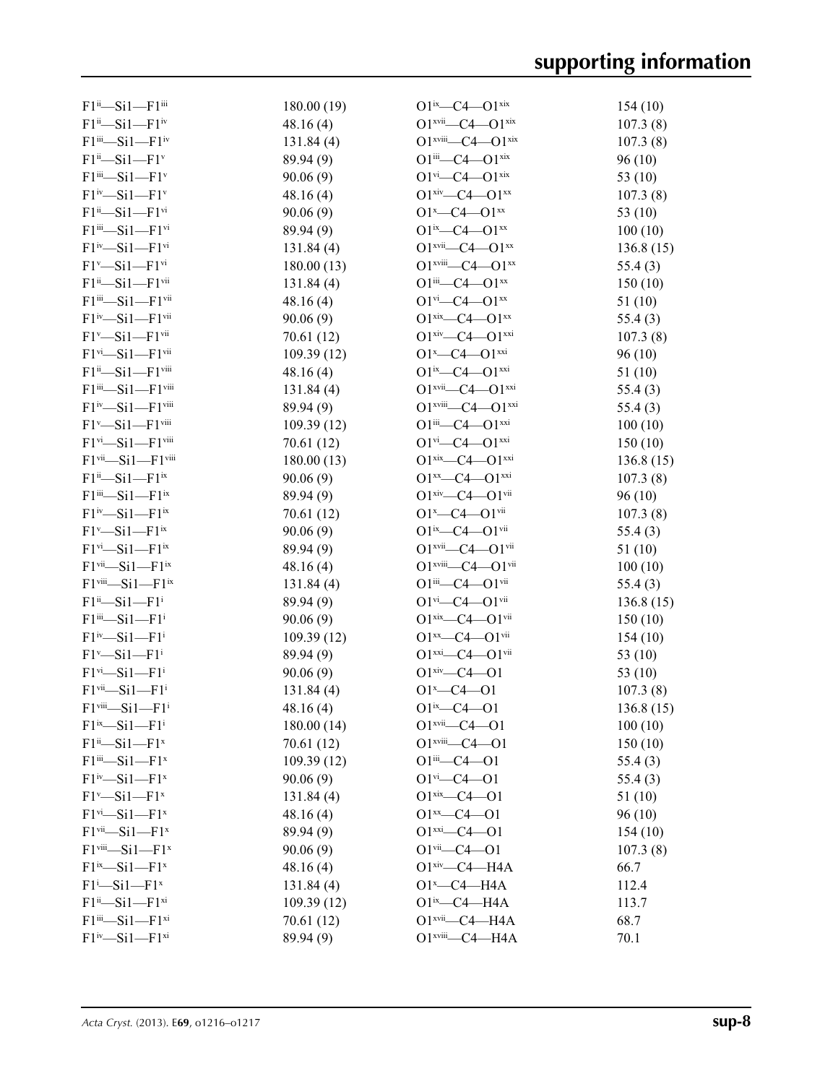| $F1^{ii}$ $-Si1$ $-F1^{iii}$                                    | 180.00 (19) | $O1^{ix}$ - $C4$ - $O1^{xix}$                      | 154(10)   |
|-----------------------------------------------------------------|-------------|----------------------------------------------------|-----------|
| $F1^{ii}$ $-Si1$ $-F1^{iv}$                                     | 48.16(4)    | $O1$ <sup>xvii</sup> — $C4$ — $O1$ <sup>xix</sup>  | 107.3(8)  |
| $F1^{iii}$ $-Si1$ $-F1^{iv}$                                    | 131.84(4)   | $O1^{xviii}$ - $C4$ - $O1^{xix}$                   | 107.3(8)  |
| $F1^{ii}$ -Si $1$ -F1 <sup>v</sup>                              | 89.94 (9)   | $O1^{iii}$ - $C4$ - $O1^{xix}$                     | 96(10)    |
| $F1$ <sup>iii</sup> -Si1- $F1$ <sup>v</sup>                     | 90.06(9)    | $O1^{vi}$ - $C4$ - $O1^{xix}$                      | 53 (10)   |
| $F1^{iv}$ -Si $1$ -F1 <sup>v</sup>                              | 48.16(4)    | $O1^{xiv}$ - $C4$ - $O1^{xx}$                      | 107.3(8)  |
| $F1^{ii}$ $-Si1$ $-F1^{vi}$                                     | 90.06(9)    | $O1^x$ - $C4$ - $O1^{xx}$                          | 53 (10)   |
| $F1$ <sup>iii</sup> -Si1- $F1$ <sup>vi</sup>                    | 89.94 (9)   | $O1^{ix}$ - $C4$ - $O1^{xx}$                       | 100(10)   |
| $F1^{iv} - Si1 - F1^{vi}$                                       | 131.84(4)   | $O1$ <sup>xvii</sup> — $C4$ — $O1$ <sup>xx</sup>   | 136.8(15) |
| $F1^v$ -Si1 - $F1^{vi}$                                         | 180.00(13)  | $O1$ <sup>xviii</sup> — $C4$ — $O1$ <sup>xx</sup>  | 55.4(3)   |
| $F1^{ii}$ $-Si1$ $-F1$ <sup>vii</sup>                           | 131.84(4)   | $O1^{iii}$ - $C4$ - $O1^{xx}$                      | 150(10)   |
| $F1$ <sup>iii</sup> —Si $1$ —F $1$ <sup>vii</sup>               | 48.16(4)    | $O1^{vi}$ - $C4$ - $O1^{xx}$                       | 51(10)    |
| $F1^{iv}$ -Si1 - $F1^{vii}$                                     | 90.06 (9)   | $O1^{xix}$ - $C4$ - $O1^{xx}$                      | 55.4(3)   |
| $F1^v$ -Si1 - $F1$ <sup>vii</sup>                               | 70.61 (12)  | $O1^{xiv}$ - $C4$ - $O1^{xxi}$                     | 107.3(8)  |
| $F1$ <sup>vi</sup> —Si1—F1 <sup>vii</sup>                       | 109.39(12)  | $O1^x$ - $C4$ - $O1^{xxi}$                         | 96(10)    |
| $F1^{ii}$ -Si1- $F1$ <sup>viii</sup>                            | 48.16(4)    | $O1^{ix}$ - $C4$ - $O1^{xxi}$                      | 51(10)    |
| $F1^{iii}-Si1-F1^{viii}$                                        | 131.84(4)   | $O1^{xvii}$ - $C4$ - $O1^{xxi}$                    | 55.4(3)   |
| $F1^{iv}$ -Si $1$ -F1 $v$ iii                                   |             | $O1^{xviii} - C4 - O1^{xxi}$                       |           |
| $F1^v$ -Si $1$ -F1 $v$ iii                                      | 89.94 (9)   | $O1^{iii}$ - $C4$ - $O1^{xxi}$                     | 55.4(3)   |
|                                                                 | 109.39(12)  |                                                    | 100(10)   |
| $F1$ <sup>vi</sup> -Si1-F1 <sup>viii</sup>                      | 70.61 (12)  | $O1^{vi}$ - $C4$ - $O1^{xxi}$                      | 150(10)   |
| $F1$ <sup>vii</sup> -Si1- $F1$ <sup>viii</sup>                  | 180.00(13)  | $O1^{xix}$ - $C4$ - $O1^{xxi}$                     | 136.8(15) |
| $F1^{ii}$ -Si1- $F1^{ix}$                                       | 90.06(9)    | $O1^{xx}$ - $C4$ - $O1^{xxi}$                      | 107.3(8)  |
| $F1$ <sup>iii</sup> —Si $1$ —F1 <sup>ix</sup>                   | 89.94 (9)   | $O1$ xiv— $C4$ — $O1$ vii                          | 96(10)    |
| $F1^{iv}$ -Si1 - $F1^{ix}$                                      | 70.61 (12)  | $O1^x$ - $C4$ - $O1$ <sup>vii</sup>                | 107.3(8)  |
| $F1^v$ -Si $1$ -F1 <sup>ix</sup>                                | 90.06(9)    | $O1^{ix}$ - $C4$ - $O1^{vii}$                      | 55.4(3)   |
| $F1$ <sup>vi</sup> —Si1—F1 <sup>ix</sup>                        | 89.94 (9)   | $O1$ <sup>xvii</sup> — $C4$ — $O1$ <sup>vii</sup>  | 51(10)    |
| $F1$ <sup>vii</sup> — $Si1$ — $F1$ <sup>ix</sup>                | 48.16(4)    | $O1$ <sup>xviii</sup> - $C4$ - $O1$ <sup>vii</sup> | 100(10)   |
| $F1$ <sup>viii</sup> -Si1-F1 <sup>ix</sup>                      | 131.84(4)   | $O1^{iii}$ - $C4$ - $O1^{vii}$                     | 55.4(3)   |
| $F1^{ii}$ -Si $1$ -F1 <sup>i</sup>                              | 89.94 (9)   | $O1^{vi}$ - $C4$ - $O1^{vii}$                      | 136.8(15) |
| $F1$ <sup>iii</sup> -Si1-F1 <sup>i</sup>                        | 90.06(9)    | $O1^{xix}$ - $C4$ - $O1^{vii}$                     | 150(10)   |
| $F1^{iv}$ -Si $1$ -F1 <sup>i</sup>                              | 109.39(12)  | $O1^{xx}$ - $C4$ - $O1$ <sup>vii</sup>             | 154(10)   |
| $F1^v$ -Si1 - $F1^i$                                            | 89.94 (9)   | $O1^{xxi}$ - $C4$ - $O1^{vii}$                     | 53 (10)   |
| $F1$ <sup>vi</sup> $-Si1-F1$ <sup>i</sup>                       | 90.06(9)    | $O1$ <sup>xiv</sup> - $C4$ - $O1$                  | 53 (10)   |
| $F1$ <sup>vii</sup> <sub>-Si</sub> 1-F1 <sup>i</sup>            | 131.84 (4)  | $O1^x$ - $C4$ - $O1$                               | 107.3(8)  |
| $F1$ <sup>viii</sup> -Si1- $F1$ <sup>i</sup>                    | 48.16(4)    | $O1^{ix} - C4 - O1$                                | 136.8(15) |
| $F1^{ix}$ -Si1 - $F1^i$                                         | 180.00(14)  | $O1$ <sup>xvii</sup> —C4—O1                        | 100(10)   |
| $F1^{ii}$ -Si1 - $F1^x$                                         | 70.61 (12)  | $O1$ <sup>xviii</sup> - $C4$ - $O1$                | 150(10)   |
| $F1$ <sup>iii</sup> —Si1—F1 <sup>x</sup>                        | 109.39(12)  | $O1^{iii} - C4 - O1$                               | 55.4(3)   |
| $F1^{iv}$ -Si $1$ -F1 <sup>x</sup>                              | 90.06(9)    | $O1$ <sup>vi</sup> —C4—O1                          | 55.4(3)   |
| $F1^v$ -Si $1$ -F1 <sup>x</sup>                                 | 131.84(4)   | $O1$ <sup>xix</sup> —C4—O1                         | 51(10)    |
| $F1^{vi}$ $-Si1$ $-F1^x$                                        | 48.16(4)    | $O1^{xx} - C4 - O1$                                | 96(10)    |
| $F1$ <sup>vii</sup> <sub>-Si</sub> 1 <sub>-F1<sup>x</sup></sub> | 89.94 (9)   | $O1^{xxi} - C4 - O1$                               | 154(10)   |
| $F1$ <sup>viii</sup> -Si1- $F1^x$                               | 90.06(9)    | $O1$ <sup>vii</sup> - $C4$ - $O1$                  | 107.3(8)  |
| $F1^{ix}$ -Si1 - $F1^x$                                         | 48.16(4)    | $O1xiv$ -C4-H4A                                    | 66.7      |
| $F1^i$ -Si $1$ -F1 <sup>x</sup>                                 | 131.84(4)   | $O1^x$ - $C4$ - $H4A$                              | 112.4     |
| $F1^{ii}$ $-Si1$ $-F1^{xi}$                                     | 109.39 (12) | $O1^{ix}$ - $C4$ - $H4A$                           | 113.7     |
| $F1^{iii}$ $-Si1$ $-F1^{xi}$                                    | 70.61 (12)  | $O1$ <sup>xvii</sup> -C4 -H4A                      | 68.7      |
| $F1^{iv}$ -Si $1$ -F1 $xi$                                      | 89.94 (9)   | $O1$ <sup>xviii</sup> - $C4$ -H4A                  | 70.1      |
|                                                                 |             |                                                    |           |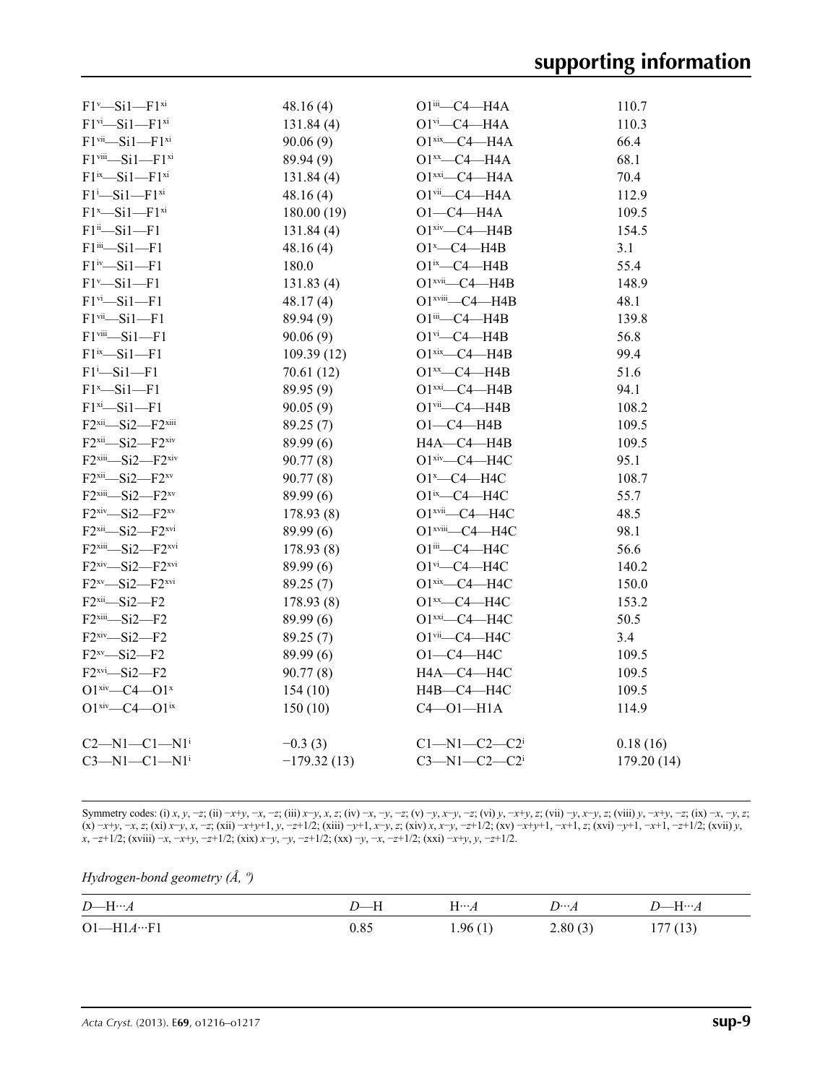| $F1$ <sup>vi</sup> -Si1- $F1$ <sup>xi</sup><br>131.84(4)<br>110.3<br>$O1$ <sup>vi</sup> —C4—H4A<br>$F1$ <sup>vii</sup> $-Si1-F1$ <sup>xi</sup><br>66.4<br>90.06(9)<br>$O1$ <sup>xix</sup> —C4—H4A<br>$F1$ <sup>viii</sup> -Si1- $F1$ <sup>xi</sup><br>68.1<br>$O1^{xx}$ - C4 - H4A<br>89.94 (9)<br>$F1^{ix}$ -Si1 - $F1^{xi}$<br>$O1$ <sup>xxi</sup> $-C4$ $H4A$<br>70.4<br>131.84(4)<br>$F1^i$ -Si $1$ -F1 $xi$<br>$O1$ <sup>vii</sup> -C4 -H4A<br>48.16(4)<br>112.9<br>$F1^x$ -Si $1$ -F1 $^{xi}$<br>180.00(19)<br>$O1-C4-H4A$<br>109.5<br>$F1^{ii} - Si1 - F1$<br>$O1$ <sup>xiv</sup> —C4—H4B<br>154.5<br>131.84(4)<br>$F1$ iii- $Si1-F1$<br>$O1^x$ - $C4$ - $H4B$<br>3.1<br>48.16(4)<br>$F1^{iv}$ -Si $1$ -F1<br>$O1^{ix}$ - $C4$ - $H4B$<br>55.4<br>180.0<br>$F1^v$ -Si $1$ -F1<br>$O1$ <sup>xvii</sup> $-C4$ $-H4B$<br>148.9<br>131.83(4)<br>$F1$ <sup>vi</sup> $-Si1-F1$<br>$O1$ <sup>xviii</sup> - $C4$ -H4B<br>48.1<br>48.17(4)<br>$F1$ <sup>vii</sup> -Si1-F1<br>89.94 (9)<br>$O1$ iii— $C4$ —H4B<br>139.8<br>$O1$ <sup>vi</sup> $-C4$ $-H4B$<br>$F1$ <sup>viii</sup> -Si $1$ -F1<br>90.06(9)<br>56.8<br>$F1^{ix}-Si1-F1$<br>$O1$ xix- $C4$ -H4B<br>99.4<br>109.39(12)<br>$F1 - Si1 - F1$<br>$O1^{xx}$ - $C4$ - $H4B$<br>51.6<br>70.61 (12)<br>94.1<br>$F1^x$ -Si $1$ -F1<br>89.95 (9)<br>$O1$ <sup>xxi</sup> $-C4$ $-H4B$<br>$F1^{xi}-Si1-F1$<br>$O1$ <sup>vii</sup> - $C4$ -H4B<br>108.2<br>90.05(9)<br>$F2xii$ -Si2- $F2xiii$<br>$O1-C4$ -H4B<br>109.5<br>89.25 (7)<br>$F2xii$ -Si2- $F2xiv$<br>89.99 (6)<br>HA—C4—H4B<br>109.5<br>$F2xiii$ -Si2- $F2xiv$<br>$O1xiv$ -C4-H4C<br>95.1<br>90.77(8)<br>$F2xii$ -Si2- $F2xv$<br>90.77(8)<br>$O1^x$ - C4 - H4C<br>108.7<br>$F2$ <sup>xiii</sup> -Si2- $F2^{xy}$<br>89.99 (6)<br>O1ix-C4-H4C<br>55.7<br>$F2xiv$ -Si2- $F2xy$<br>O1 <sup>xvii</sup> -C4-H4C<br>48.5<br>178.93 (8)<br>$F2xii$ -Si2- $F2xvi$<br>89.99(6)<br>O1 <sup>xviii</sup> -C4-H4C<br>98.1<br>$F2$ <sup>xiii</sup> -Si2- $F2$ <sup>xvi</sup><br>178.93(8)<br>O1iii-C4-H4C<br>56.6<br>$F2xiv$ -Si2- $F2xvi$<br>$O1$ <sup>vi</sup> -C4-H4C<br>89.99(6)<br>140.2<br>$F2^{xy}$ -Si2- $F2^{xvi}$<br>$O1$ xix $\_\_C4\_\_H4C$<br>89.25(7)<br>150.0<br>$F2$ <sup>xii</sup> $-Si2-F2$<br>$O1^{xx}$ - C4 - H4C<br>178.93 (8)<br>153.2<br>$F2$ <sup>xiii</sup> -Si2- $F2$<br>$O1$ xxi $-C4$ $-H4C$<br>50.5<br>89.99 (6)<br>$F2xiv$ -Si2- $F2$<br>$O1$ <sup>vii</sup> -C4-H4C<br>89.25 (7)<br>3.4<br>$O1-C4-H4C$<br>$F2^{xy}-Si2-F2$<br>89.99 (6)<br>109.5<br>$F2xvi$ $-Si2$ $-F2$<br>H4A-C4-H4C<br>109.5<br>90.77(8)<br>$O1^{xiv}$ - $C4$ - $O1^{x}$<br>154(10)<br>$H4B - C4 - H4C$<br>109.5<br>$O1^{xiv}$ - $C4$ - $O1^{ix}$<br>150(10)<br>$C4 - 01 - H1A$<br>114.9<br>$C1 - N1 - C2 - C2$<br>$C2 - N1 - C1 - N1$ <sup>i</sup><br>0.18(16)<br>$-0.3(3)$<br>$C3-M1-C1-N1$ <sup>i</sup><br>$-179.32(13)$<br>$C3 - N1 - C2 - C2$ <sup>i</sup><br>179.20 (14) | $F1^v$ -Si1 - $F1^x$ | 48.16(4) | O1iii <sub>-C4</sub> -H4A | 110.7 |
|---------------------------------------------------------------------------------------------------------------------------------------------------------------------------------------------------------------------------------------------------------------------------------------------------------------------------------------------------------------------------------------------------------------------------------------------------------------------------------------------------------------------------------------------------------------------------------------------------------------------------------------------------------------------------------------------------------------------------------------------------------------------------------------------------------------------------------------------------------------------------------------------------------------------------------------------------------------------------------------------------------------------------------------------------------------------------------------------------------------------------------------------------------------------------------------------------------------------------------------------------------------------------------------------------------------------------------------------------------------------------------------------------------------------------------------------------------------------------------------------------------------------------------------------------------------------------------------------------------------------------------------------------------------------------------------------------------------------------------------------------------------------------------------------------------------------------------------------------------------------------------------------------------------------------------------------------------------------------------------------------------------------------------------------------------------------------------------------------------------------------------------------------------------------------------------------------------------------------------------------------------------------------------------------------------------------------------------------------------------------------------------------------------------------------------------------------------------------------------------------------------------------------------------------------------------------------------------------------------------------------------------------------------------------------------------------------------------------------------------------------------------------------------------------------------------------------------------------------------------------------|----------------------|----------|---------------------------|-------|
|                                                                                                                                                                                                                                                                                                                                                                                                                                                                                                                                                                                                                                                                                                                                                                                                                                                                                                                                                                                                                                                                                                                                                                                                                                                                                                                                                                                                                                                                                                                                                                                                                                                                                                                                                                                                                                                                                                                                                                                                                                                                                                                                                                                                                                                                                                                                                                                                                                                                                                                                                                                                                                                                                                                                                                                                                                                                           |                      |          |                           |       |
|                                                                                                                                                                                                                                                                                                                                                                                                                                                                                                                                                                                                                                                                                                                                                                                                                                                                                                                                                                                                                                                                                                                                                                                                                                                                                                                                                                                                                                                                                                                                                                                                                                                                                                                                                                                                                                                                                                                                                                                                                                                                                                                                                                                                                                                                                                                                                                                                                                                                                                                                                                                                                                                                                                                                                                                                                                                                           |                      |          |                           |       |
|                                                                                                                                                                                                                                                                                                                                                                                                                                                                                                                                                                                                                                                                                                                                                                                                                                                                                                                                                                                                                                                                                                                                                                                                                                                                                                                                                                                                                                                                                                                                                                                                                                                                                                                                                                                                                                                                                                                                                                                                                                                                                                                                                                                                                                                                                                                                                                                                                                                                                                                                                                                                                                                                                                                                                                                                                                                                           |                      |          |                           |       |
|                                                                                                                                                                                                                                                                                                                                                                                                                                                                                                                                                                                                                                                                                                                                                                                                                                                                                                                                                                                                                                                                                                                                                                                                                                                                                                                                                                                                                                                                                                                                                                                                                                                                                                                                                                                                                                                                                                                                                                                                                                                                                                                                                                                                                                                                                                                                                                                                                                                                                                                                                                                                                                                                                                                                                                                                                                                                           |                      |          |                           |       |
|                                                                                                                                                                                                                                                                                                                                                                                                                                                                                                                                                                                                                                                                                                                                                                                                                                                                                                                                                                                                                                                                                                                                                                                                                                                                                                                                                                                                                                                                                                                                                                                                                                                                                                                                                                                                                                                                                                                                                                                                                                                                                                                                                                                                                                                                                                                                                                                                                                                                                                                                                                                                                                                                                                                                                                                                                                                                           |                      |          |                           |       |
|                                                                                                                                                                                                                                                                                                                                                                                                                                                                                                                                                                                                                                                                                                                                                                                                                                                                                                                                                                                                                                                                                                                                                                                                                                                                                                                                                                                                                                                                                                                                                                                                                                                                                                                                                                                                                                                                                                                                                                                                                                                                                                                                                                                                                                                                                                                                                                                                                                                                                                                                                                                                                                                                                                                                                                                                                                                                           |                      |          |                           |       |
|                                                                                                                                                                                                                                                                                                                                                                                                                                                                                                                                                                                                                                                                                                                                                                                                                                                                                                                                                                                                                                                                                                                                                                                                                                                                                                                                                                                                                                                                                                                                                                                                                                                                                                                                                                                                                                                                                                                                                                                                                                                                                                                                                                                                                                                                                                                                                                                                                                                                                                                                                                                                                                                                                                                                                                                                                                                                           |                      |          |                           |       |
|                                                                                                                                                                                                                                                                                                                                                                                                                                                                                                                                                                                                                                                                                                                                                                                                                                                                                                                                                                                                                                                                                                                                                                                                                                                                                                                                                                                                                                                                                                                                                                                                                                                                                                                                                                                                                                                                                                                                                                                                                                                                                                                                                                                                                                                                                                                                                                                                                                                                                                                                                                                                                                                                                                                                                                                                                                                                           |                      |          |                           |       |
|                                                                                                                                                                                                                                                                                                                                                                                                                                                                                                                                                                                                                                                                                                                                                                                                                                                                                                                                                                                                                                                                                                                                                                                                                                                                                                                                                                                                                                                                                                                                                                                                                                                                                                                                                                                                                                                                                                                                                                                                                                                                                                                                                                                                                                                                                                                                                                                                                                                                                                                                                                                                                                                                                                                                                                                                                                                                           |                      |          |                           |       |
|                                                                                                                                                                                                                                                                                                                                                                                                                                                                                                                                                                                                                                                                                                                                                                                                                                                                                                                                                                                                                                                                                                                                                                                                                                                                                                                                                                                                                                                                                                                                                                                                                                                                                                                                                                                                                                                                                                                                                                                                                                                                                                                                                                                                                                                                                                                                                                                                                                                                                                                                                                                                                                                                                                                                                                                                                                                                           |                      |          |                           |       |
|                                                                                                                                                                                                                                                                                                                                                                                                                                                                                                                                                                                                                                                                                                                                                                                                                                                                                                                                                                                                                                                                                                                                                                                                                                                                                                                                                                                                                                                                                                                                                                                                                                                                                                                                                                                                                                                                                                                                                                                                                                                                                                                                                                                                                                                                                                                                                                                                                                                                                                                                                                                                                                                                                                                                                                                                                                                                           |                      |          |                           |       |
|                                                                                                                                                                                                                                                                                                                                                                                                                                                                                                                                                                                                                                                                                                                                                                                                                                                                                                                                                                                                                                                                                                                                                                                                                                                                                                                                                                                                                                                                                                                                                                                                                                                                                                                                                                                                                                                                                                                                                                                                                                                                                                                                                                                                                                                                                                                                                                                                                                                                                                                                                                                                                                                                                                                                                                                                                                                                           |                      |          |                           |       |
|                                                                                                                                                                                                                                                                                                                                                                                                                                                                                                                                                                                                                                                                                                                                                                                                                                                                                                                                                                                                                                                                                                                                                                                                                                                                                                                                                                                                                                                                                                                                                                                                                                                                                                                                                                                                                                                                                                                                                                                                                                                                                                                                                                                                                                                                                                                                                                                                                                                                                                                                                                                                                                                                                                                                                                                                                                                                           |                      |          |                           |       |
|                                                                                                                                                                                                                                                                                                                                                                                                                                                                                                                                                                                                                                                                                                                                                                                                                                                                                                                                                                                                                                                                                                                                                                                                                                                                                                                                                                                                                                                                                                                                                                                                                                                                                                                                                                                                                                                                                                                                                                                                                                                                                                                                                                                                                                                                                                                                                                                                                                                                                                                                                                                                                                                                                                                                                                                                                                                                           |                      |          |                           |       |
|                                                                                                                                                                                                                                                                                                                                                                                                                                                                                                                                                                                                                                                                                                                                                                                                                                                                                                                                                                                                                                                                                                                                                                                                                                                                                                                                                                                                                                                                                                                                                                                                                                                                                                                                                                                                                                                                                                                                                                                                                                                                                                                                                                                                                                                                                                                                                                                                                                                                                                                                                                                                                                                                                                                                                                                                                                                                           |                      |          |                           |       |
|                                                                                                                                                                                                                                                                                                                                                                                                                                                                                                                                                                                                                                                                                                                                                                                                                                                                                                                                                                                                                                                                                                                                                                                                                                                                                                                                                                                                                                                                                                                                                                                                                                                                                                                                                                                                                                                                                                                                                                                                                                                                                                                                                                                                                                                                                                                                                                                                                                                                                                                                                                                                                                                                                                                                                                                                                                                                           |                      |          |                           |       |
|                                                                                                                                                                                                                                                                                                                                                                                                                                                                                                                                                                                                                                                                                                                                                                                                                                                                                                                                                                                                                                                                                                                                                                                                                                                                                                                                                                                                                                                                                                                                                                                                                                                                                                                                                                                                                                                                                                                                                                                                                                                                                                                                                                                                                                                                                                                                                                                                                                                                                                                                                                                                                                                                                                                                                                                                                                                                           |                      |          |                           |       |
|                                                                                                                                                                                                                                                                                                                                                                                                                                                                                                                                                                                                                                                                                                                                                                                                                                                                                                                                                                                                                                                                                                                                                                                                                                                                                                                                                                                                                                                                                                                                                                                                                                                                                                                                                                                                                                                                                                                                                                                                                                                                                                                                                                                                                                                                                                                                                                                                                                                                                                                                                                                                                                                                                                                                                                                                                                                                           |                      |          |                           |       |
|                                                                                                                                                                                                                                                                                                                                                                                                                                                                                                                                                                                                                                                                                                                                                                                                                                                                                                                                                                                                                                                                                                                                                                                                                                                                                                                                                                                                                                                                                                                                                                                                                                                                                                                                                                                                                                                                                                                                                                                                                                                                                                                                                                                                                                                                                                                                                                                                                                                                                                                                                                                                                                                                                                                                                                                                                                                                           |                      |          |                           |       |
|                                                                                                                                                                                                                                                                                                                                                                                                                                                                                                                                                                                                                                                                                                                                                                                                                                                                                                                                                                                                                                                                                                                                                                                                                                                                                                                                                                                                                                                                                                                                                                                                                                                                                                                                                                                                                                                                                                                                                                                                                                                                                                                                                                                                                                                                                                                                                                                                                                                                                                                                                                                                                                                                                                                                                                                                                                                                           |                      |          |                           |       |
|                                                                                                                                                                                                                                                                                                                                                                                                                                                                                                                                                                                                                                                                                                                                                                                                                                                                                                                                                                                                                                                                                                                                                                                                                                                                                                                                                                                                                                                                                                                                                                                                                                                                                                                                                                                                                                                                                                                                                                                                                                                                                                                                                                                                                                                                                                                                                                                                                                                                                                                                                                                                                                                                                                                                                                                                                                                                           |                      |          |                           |       |
|                                                                                                                                                                                                                                                                                                                                                                                                                                                                                                                                                                                                                                                                                                                                                                                                                                                                                                                                                                                                                                                                                                                                                                                                                                                                                                                                                                                                                                                                                                                                                                                                                                                                                                                                                                                                                                                                                                                                                                                                                                                                                                                                                                                                                                                                                                                                                                                                                                                                                                                                                                                                                                                                                                                                                                                                                                                                           |                      |          |                           |       |
|                                                                                                                                                                                                                                                                                                                                                                                                                                                                                                                                                                                                                                                                                                                                                                                                                                                                                                                                                                                                                                                                                                                                                                                                                                                                                                                                                                                                                                                                                                                                                                                                                                                                                                                                                                                                                                                                                                                                                                                                                                                                                                                                                                                                                                                                                                                                                                                                                                                                                                                                                                                                                                                                                                                                                                                                                                                                           |                      |          |                           |       |
|                                                                                                                                                                                                                                                                                                                                                                                                                                                                                                                                                                                                                                                                                                                                                                                                                                                                                                                                                                                                                                                                                                                                                                                                                                                                                                                                                                                                                                                                                                                                                                                                                                                                                                                                                                                                                                                                                                                                                                                                                                                                                                                                                                                                                                                                                                                                                                                                                                                                                                                                                                                                                                                                                                                                                                                                                                                                           |                      |          |                           |       |
|                                                                                                                                                                                                                                                                                                                                                                                                                                                                                                                                                                                                                                                                                                                                                                                                                                                                                                                                                                                                                                                                                                                                                                                                                                                                                                                                                                                                                                                                                                                                                                                                                                                                                                                                                                                                                                                                                                                                                                                                                                                                                                                                                                                                                                                                                                                                                                                                                                                                                                                                                                                                                                                                                                                                                                                                                                                                           |                      |          |                           |       |
|                                                                                                                                                                                                                                                                                                                                                                                                                                                                                                                                                                                                                                                                                                                                                                                                                                                                                                                                                                                                                                                                                                                                                                                                                                                                                                                                                                                                                                                                                                                                                                                                                                                                                                                                                                                                                                                                                                                                                                                                                                                                                                                                                                                                                                                                                                                                                                                                                                                                                                                                                                                                                                                                                                                                                                                                                                                                           |                      |          |                           |       |
|                                                                                                                                                                                                                                                                                                                                                                                                                                                                                                                                                                                                                                                                                                                                                                                                                                                                                                                                                                                                                                                                                                                                                                                                                                                                                                                                                                                                                                                                                                                                                                                                                                                                                                                                                                                                                                                                                                                                                                                                                                                                                                                                                                                                                                                                                                                                                                                                                                                                                                                                                                                                                                                                                                                                                                                                                                                                           |                      |          |                           |       |
|                                                                                                                                                                                                                                                                                                                                                                                                                                                                                                                                                                                                                                                                                                                                                                                                                                                                                                                                                                                                                                                                                                                                                                                                                                                                                                                                                                                                                                                                                                                                                                                                                                                                                                                                                                                                                                                                                                                                                                                                                                                                                                                                                                                                                                                                                                                                                                                                                                                                                                                                                                                                                                                                                                                                                                                                                                                                           |                      |          |                           |       |
|                                                                                                                                                                                                                                                                                                                                                                                                                                                                                                                                                                                                                                                                                                                                                                                                                                                                                                                                                                                                                                                                                                                                                                                                                                                                                                                                                                                                                                                                                                                                                                                                                                                                                                                                                                                                                                                                                                                                                                                                                                                                                                                                                                                                                                                                                                                                                                                                                                                                                                                                                                                                                                                                                                                                                                                                                                                                           |                      |          |                           |       |
|                                                                                                                                                                                                                                                                                                                                                                                                                                                                                                                                                                                                                                                                                                                                                                                                                                                                                                                                                                                                                                                                                                                                                                                                                                                                                                                                                                                                                                                                                                                                                                                                                                                                                                                                                                                                                                                                                                                                                                                                                                                                                                                                                                                                                                                                                                                                                                                                                                                                                                                                                                                                                                                                                                                                                                                                                                                                           |                      |          |                           |       |
|                                                                                                                                                                                                                                                                                                                                                                                                                                                                                                                                                                                                                                                                                                                                                                                                                                                                                                                                                                                                                                                                                                                                                                                                                                                                                                                                                                                                                                                                                                                                                                                                                                                                                                                                                                                                                                                                                                                                                                                                                                                                                                                                                                                                                                                                                                                                                                                                                                                                                                                                                                                                                                                                                                                                                                                                                                                                           |                      |          |                           |       |
|                                                                                                                                                                                                                                                                                                                                                                                                                                                                                                                                                                                                                                                                                                                                                                                                                                                                                                                                                                                                                                                                                                                                                                                                                                                                                                                                                                                                                                                                                                                                                                                                                                                                                                                                                                                                                                                                                                                                                                                                                                                                                                                                                                                                                                                                                                                                                                                                                                                                                                                                                                                                                                                                                                                                                                                                                                                                           |                      |          |                           |       |
|                                                                                                                                                                                                                                                                                                                                                                                                                                                                                                                                                                                                                                                                                                                                                                                                                                                                                                                                                                                                                                                                                                                                                                                                                                                                                                                                                                                                                                                                                                                                                                                                                                                                                                                                                                                                                                                                                                                                                                                                                                                                                                                                                                                                                                                                                                                                                                                                                                                                                                                                                                                                                                                                                                                                                                                                                                                                           |                      |          |                           |       |
|                                                                                                                                                                                                                                                                                                                                                                                                                                                                                                                                                                                                                                                                                                                                                                                                                                                                                                                                                                                                                                                                                                                                                                                                                                                                                                                                                                                                                                                                                                                                                                                                                                                                                                                                                                                                                                                                                                                                                                                                                                                                                                                                                                                                                                                                                                                                                                                                                                                                                                                                                                                                                                                                                                                                                                                                                                                                           |                      |          |                           |       |
|                                                                                                                                                                                                                                                                                                                                                                                                                                                                                                                                                                                                                                                                                                                                                                                                                                                                                                                                                                                                                                                                                                                                                                                                                                                                                                                                                                                                                                                                                                                                                                                                                                                                                                                                                                                                                                                                                                                                                                                                                                                                                                                                                                                                                                                                                                                                                                                                                                                                                                                                                                                                                                                                                                                                                                                                                                                                           |                      |          |                           |       |
|                                                                                                                                                                                                                                                                                                                                                                                                                                                                                                                                                                                                                                                                                                                                                                                                                                                                                                                                                                                                                                                                                                                                                                                                                                                                                                                                                                                                                                                                                                                                                                                                                                                                                                                                                                                                                                                                                                                                                                                                                                                                                                                                                                                                                                                                                                                                                                                                                                                                                                                                                                                                                                                                                                                                                                                                                                                                           |                      |          |                           |       |

Symmetry codes: (i) x, y, -z; (ii) -x+y, -x, -z; (iii) x-y, x, z; (iv) -x, -y, -z; (v) -y, x-y, -z; (vi) y, -x+y, z; (vii) -y, x-y, z; (viii) y, -x+y, -z; (ix) -x, -y, z; (x) -x+y, -x, z; (xi) x-y, x, -z; (xii) -x+y+1, y, -z+1/2; (xiii) -y+1, x-y, z; (xiv) x, x-y, -z+1/2; (xv) -x+y+1, -x+1, z; (xvi) -y+1, -x+1, -z+1/2; (xvii) y, *x*, −*z*+1/2; (xviii) −*x*, −*x*+*y*, −*z*+1/2; (xix) *x*−*y*, −*y*, −*z*+1/2; (xx) −*y*, −*x*, −*z*+1/2; (xxi) −*x*+*y*, *y*, −*z*+1/2.

*Hydrogen-bond geometry (Å, º)*

| $D$ —H… $A$        |      | $H \cdots A$ | $D\cdot\cdot\cdot A$ | $D$ <sub><math>\rightarrow</math>H</sub> $\ldots$ 4 |
|--------------------|------|--------------|----------------------|-----------------------------------------------------|
| $O1-H1A \cdots F1$ | 0.85 | 1.96(1)      | 2.80(3)              | 177(13)                                             |